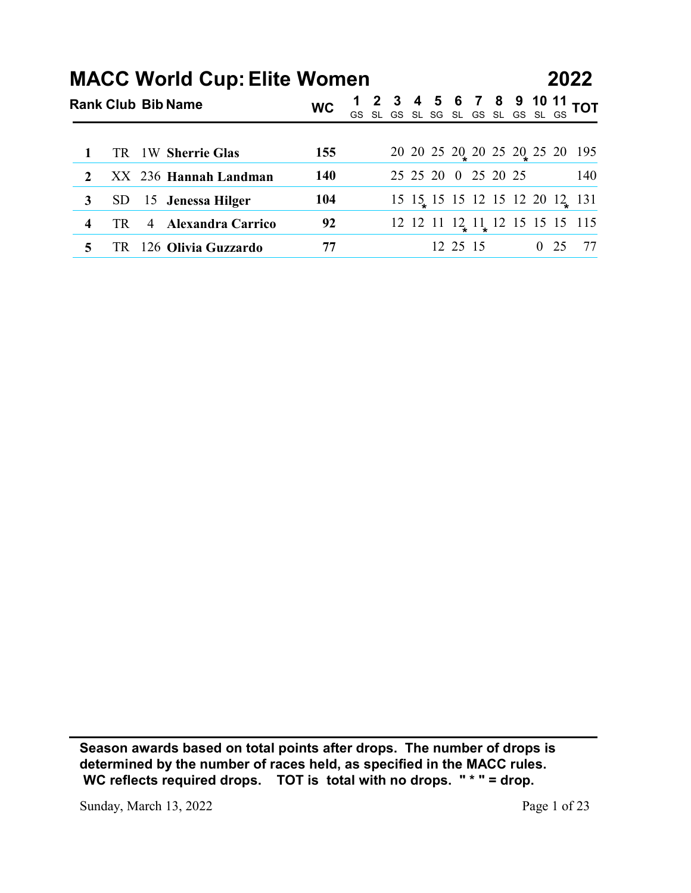|                  |           |   | <b>MACC World Cup: Elite Women</b> |           |  |  | 6 | $\overline{7}$                   | 8 | 9 |              | 2022                                    |
|------------------|-----------|---|------------------------------------|-----------|--|--|---|----------------------------------|---|---|--------------|-----------------------------------------|
|                  |           |   | <b>Rank Club Bib Name</b>          | <b>WC</b> |  |  |   | GS SL GS SL SG SL GS SL GS SL GS |   |   | <b>10 11</b> | <b>TOT</b>                              |
|                  | <b>TR</b> |   | 1W Sherrie Glas                    | 155       |  |  |   |                                  |   |   |              | 20 20 25 20 20 25 20 25 20 195          |
| $\boldsymbol{2}$ |           |   | XX 236 Hannah Landman              | 140       |  |  |   | 25 25 20 0 25 20 25              |   |   |              | 140                                     |
| 3                | <b>SD</b> |   | 15 Jenessa Hilger                  | 104       |  |  |   |                                  |   |   |              | 15 15 15 15 12 15 12 20 12 131          |
| 4                | TR        | 4 | <b>Alexandra Carrico</b>           | 92        |  |  |   |                                  |   |   |              | $12$ 12 11 $12$ 11 $12$ 12 15 15 15 115 |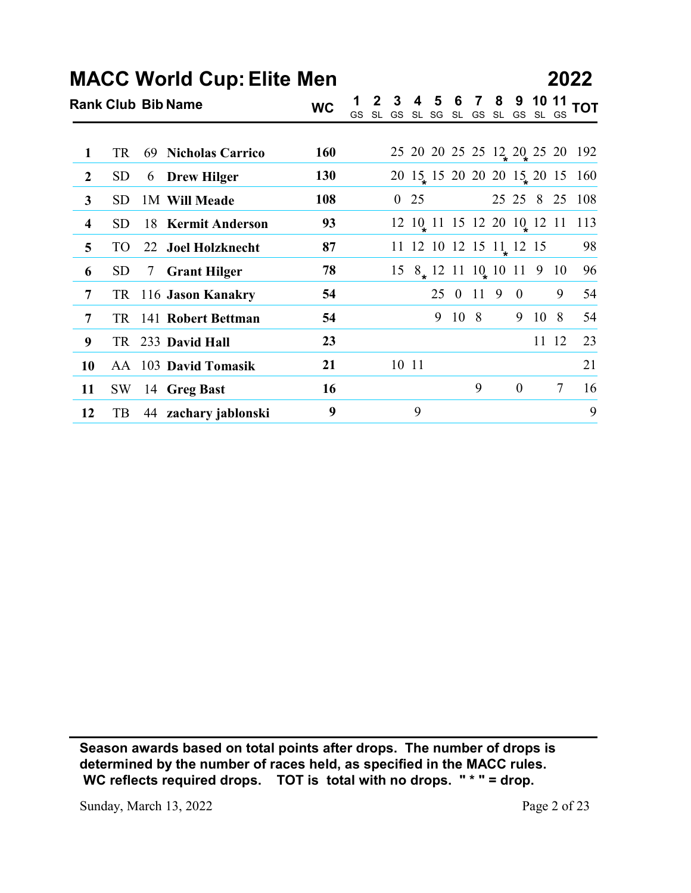|                  |           |    | <b>MACC World Cup: Elite Men</b> |            |  |             |        |   |                                                        |                  |        |                                                             | 2022                           |
|------------------|-----------|----|----------------------------------|------------|--|-------------|--------|---|--------------------------------------------------------|------------------|--------|-------------------------------------------------------------|--------------------------------|
|                  |           |    | <b>Rank Club Bib Name</b>        | <b>WC</b>  |  |             |        |   |                                                        |                  |        | 1 2 3 4 5 6 7 8 9 10 11<br>GS SL GS SL SG SL GS SL GS SL GS | <b>TOT</b>                     |
|                  |           |    |                                  |            |  |             |        |   |                                                        |                  |        |                                                             |                                |
| 1                | <b>TR</b> | 69 | <b>Nicholas Carrico</b>          | <b>160</b> |  |             |        |   |                                                        |                  |        |                                                             | 25 20 20 25 25 12 20 25 20 192 |
| $\boldsymbol{2}$ | <b>SD</b> |    | 6 Drew Hilger                    | 130        |  |             |        |   |                                                        |                  |        |                                                             | 20 15 15 20 20 20 15 20 15 160 |
| $\mathbf{3}$     | <b>SD</b> |    | 1M Will Meade                    | 108        |  | $0\quad 25$ |        |   |                                                        |                  |        |                                                             | 25 25 8 25 108                 |
| 4                | <b>SD</b> |    | 18 Kermit Anderson               | 93         |  |             |        |   |                                                        |                  |        |                                                             | 12 10 11 15 12 20 10 12 11 113 |
| 5                | <b>TO</b> |    | 22 Joel Holzknecht               | 87         |  |             |        |   | 11 12 10 12 15 11 12 15                                |                  |        |                                                             | 98                             |
|                  | <b>SD</b> | 7  | <b>Grant Hilger</b>              | 78         |  |             |        |   | $15 \t8_{\star} 12 \t11 \t10_{\star} 10 \t11 \t9 \t10$ |                  |        |                                                             | 96                             |
| 6                |           |    |                                  |            |  |             |        |   | 25 0 11 9 0                                            |                  |        | 9                                                           | 54                             |
| 7                |           |    | TR 116 Jason Kanakry             | 54         |  |             |        |   |                                                        |                  |        |                                                             |                                |
| 7                |           |    | TR 141 Robert Bettman            | 54         |  |             | 9 10 8 |   |                                                        |                  | 9 10 8 |                                                             |                                |
| 9                |           |    | TR 233 David Hall                | 23         |  |             |        |   |                                                        |                  |        | 11 12                                                       | 23                             |
| <b>10</b>        |           |    | AA 103 David Tomasik             | 21         |  | $10\;\;11$  |        |   |                                                        |                  |        |                                                             | 21                             |
| 11               | <b>SW</b> |    | 14 Greg Bast                     | 16         |  |             |        | 9 |                                                        | $\boldsymbol{0}$ |        | $\tau$                                                      | 54<br>16                       |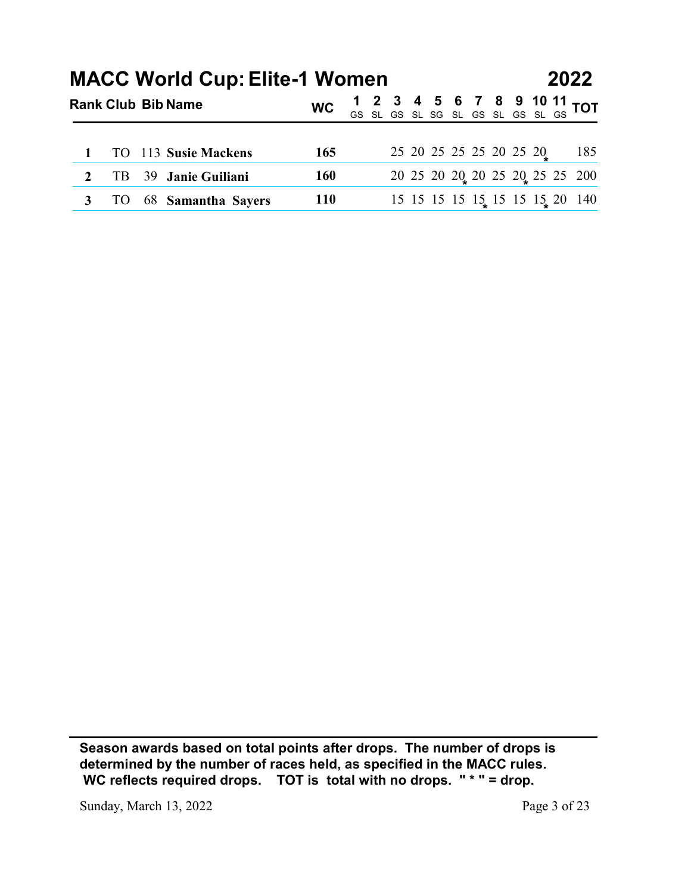|              |           |    |                                                                   |            |    |  |  |                         |  | 2022                                                           |     |
|--------------|-----------|----|-------------------------------------------------------------------|------------|----|--|--|-------------------------|--|----------------------------------------------------------------|-----|
|              |           |    | <b>MACC World Cup: Elite-1 Women</b><br><b>Rank Club Bib Name</b> | <b>WC</b>  | GS |  |  |                         |  | 2 3 4 5 6 7 8 9 10 11 TOT<br>SL GS SL SG SL GS SL GS SL GS TOT |     |
|              |           |    |                                                                   |            |    |  |  |                         |  |                                                                |     |
|              | <b>TO</b> |    | 113 Susie Mackens                                                 | 165        |    |  |  | 25 20 25 25 25 20 25 20 |  |                                                                | 185 |
| $\mathbf{2}$ | TB        | 39 | Janie Guiliani                                                    | <b>160</b> |    |  |  |                         |  | 20 25 20 20 20 25 20 25 25 200                                 |     |
| 3            | <b>TO</b> | 68 | <b>Samantha Sayers</b>                                            | <b>110</b> |    |  |  |                         |  | 15 15 15 15 15 15 15 15 20 140                                 |     |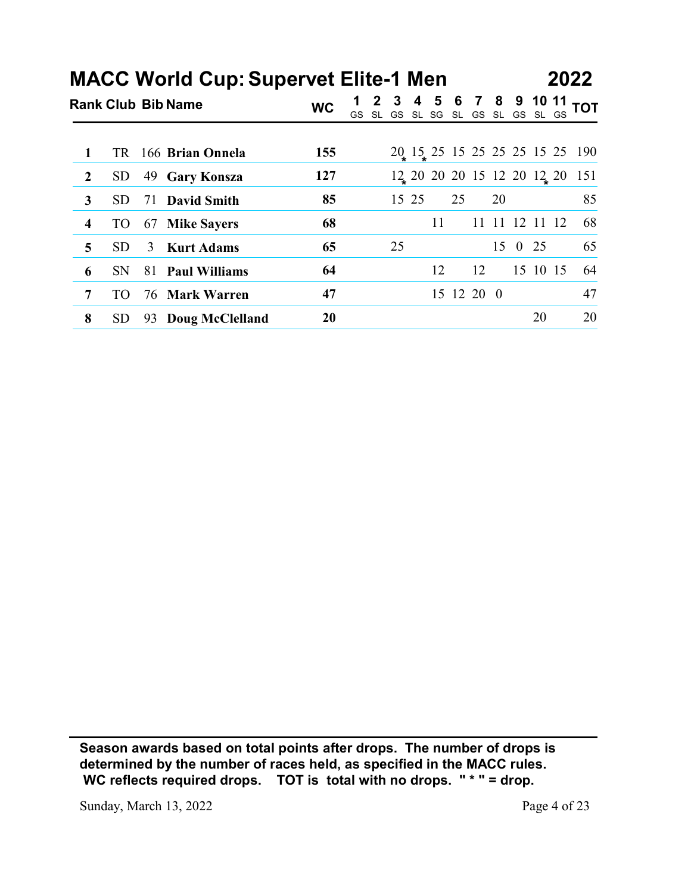|                |            |    |                                                                          |           |                                                                     |    |       |    |            |    |            |                | 2022                                                                        |
|----------------|------------|----|--------------------------------------------------------------------------|-----------|---------------------------------------------------------------------|----|-------|----|------------|----|------------|----------------|-----------------------------------------------------------------------------|
|                |            |    | <b>MACC World Cup: Supervet Elite-1 Men</b><br><b>Rank Club Bib Name</b> | <b>WC</b> |                                                                     |    |       |    |            |    |            |                |                                                                             |
|                |            |    |                                                                          |           | 1 2 3 4 5 6 7 8 9 10 11 TOT<br>GS SL GS SL SG SL GS SL GS SL GS TOT |    |       |    |            |    |            |                |                                                                             |
| 1              | TR         |    | 166 Brian Onnela                                                         | 155       |                                                                     |    |       |    |            |    |            |                |                                                                             |
| $\overline{2}$ | ${\rm SD}$ | 49 | <b>Gary Konsza</b>                                                       | 127       |                                                                     |    |       |    |            |    |            |                | $20, 15, 25, 15, 25, 25, 25, 15, 25, 190$<br>12 20 20 20 15 12 20 12 20 151 |
| $\mathbf{3}$   | <b>SD</b>  | 71 | <b>David Smith</b>                                                       | 85        |                                                                     |    | 15 25 |    | 25         |    | 20         |                | 85                                                                          |
| 4              | <b>TO</b>  | 67 | <b>Mike Sayers</b>                                                       | 68        |                                                                     |    |       | 11 |            |    |            | 11 11 12 11 12 | 68                                                                          |
| 5              | <b>SD</b>  | 3  | <b>Kurt Adams</b>                                                        | 65        |                                                                     | 25 |       |    |            |    | $15\quad0$ | 25             | 65                                                                          |
| 6              | <b>SN</b>  |    | 81 Paul Williams                                                         | 64        |                                                                     |    |       | 12 |            | 12 |            | 15 10 15       | 64                                                                          |
| 7              | <b>TO</b>  | 76 | <b>Mark Warren</b>                                                       | 47        |                                                                     |    |       |    | 15 12 20 0 |    |            |                | 47                                                                          |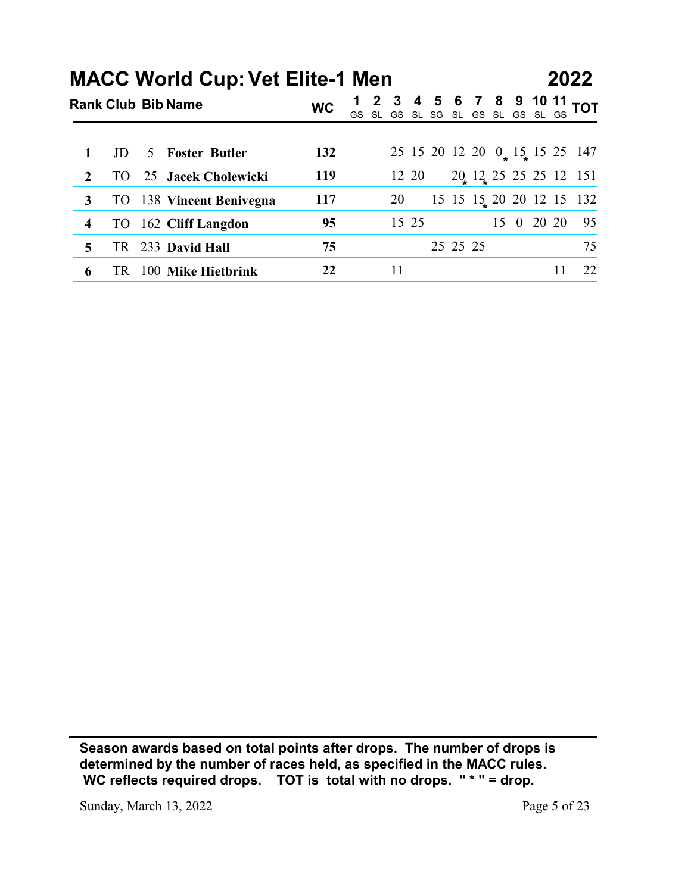|                         |           | <b>MACC World Cup: Vet Elite-1 Men</b> |           |                                                             |       |          |  |            |    | 2022                          |
|-------------------------|-----------|----------------------------------------|-----------|-------------------------------------------------------------|-------|----------|--|------------|----|-------------------------------|
|                         |           | <b>Rank Club Bib Name</b>              | <b>WC</b> | 1 2 3 4 5 6 7 8 9 10 11<br>GS SL GS SL SG SL GS SL GS SL GS |       |          |  |            |    | <b>TOT</b>                    |
|                         |           |                                        |           |                                                             |       |          |  |            |    |                               |
| $\mathbf{1}$            | JD        | <b>Foster Butler</b><br>5              | 132       |                                                             |       |          |  |            |    | 25 15 20 12 20 0 15 15 25 147 |
| $\boldsymbol{2}$        | <b>TO</b> | 25 Jacek Cholewicki                    | 119       |                                                             | 12 20 |          |  |            |    | 20, 12, 25, 25, 25, 12, 151   |
| $\mathbf{3}$            | TO        | 138 Vincent Benivegna                  | 117       | 20                                                          |       |          |  |            |    | 15 15 15 20 20 12 15 132      |
| $\overline{\mathbf{4}}$ | <b>TO</b> | 162 Cliff Langdon                      | 95        |                                                             | 15 25 |          |  | 15 0 20 20 |    | 95                            |
| 5                       | TR        | 233 David Hall                         | 75        |                                                             |       | 25 25 25 |  |            |    | 75                            |
| 6                       |           | TR 100 Mike Hietbrink                  | 22        | 11                                                          |       |          |  |            | 11 | 22                            |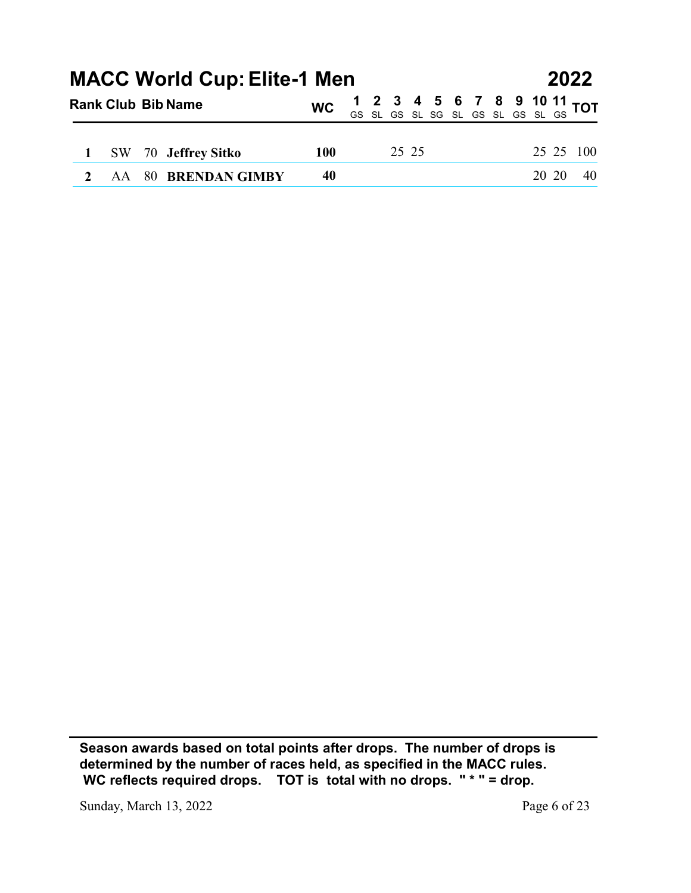|           |    | <b>MACC World Cup: Elite-1 Men</b> |            |  |          |  |             |       |                | 2022       |
|-----------|----|------------------------------------|------------|--|----------|--|-------------|-------|----------------|------------|
|           |    | <b>Rank Club Bib Name</b>          | <b>WC</b>  |  | GS SL GS |  | SL SG SL GS | SL GS | 10 11<br>SL GS | <b>TOT</b> |
|           |    |                                    |            |  |          |  |             |       |                |            |
| <b>SW</b> | 70 | <b>Jeffrey Sitko</b>               | <b>100</b> |  | 25 25    |  |             |       |                | 25 25 100  |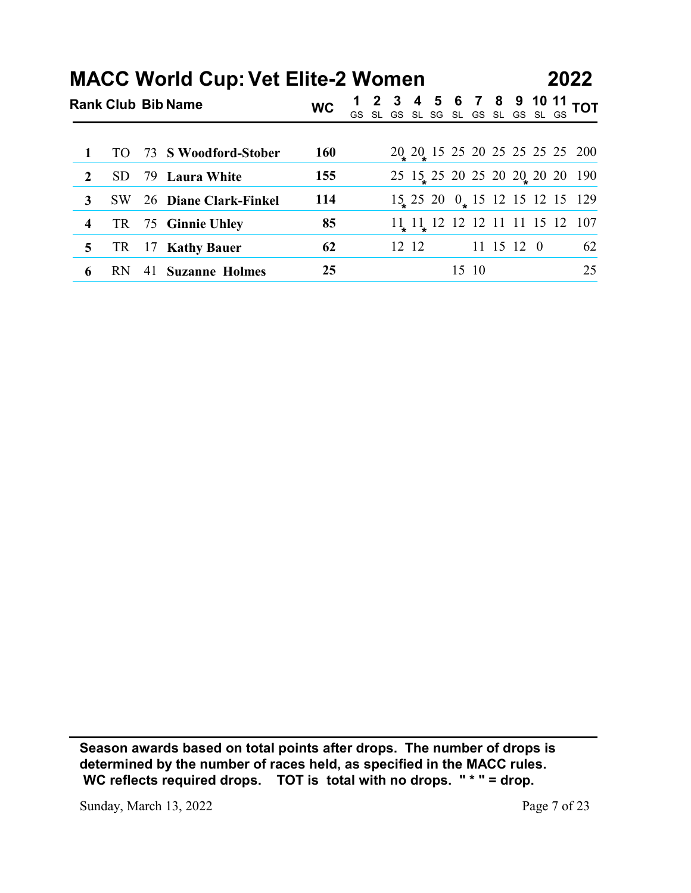|                         |           |    | <b>MACC World Cup: Vet Elite-2 Women</b> |           |  |       |  |  |            |  | 2022                                                                |
|-------------------------|-----------|----|------------------------------------------|-----------|--|-------|--|--|------------|--|---------------------------------------------------------------------|
|                         |           |    | <b>Rank Club Bib Name</b>                | <b>WC</b> |  |       |  |  |            |  | 1 2 3 4 5 6 7 8 9 10 11 TOT<br>GS SL GS SL SG SL GS SL GS SL GS TOT |
|                         |           |    |                                          |           |  |       |  |  |            |  |                                                                     |
| 1                       | <b>TO</b> | 73 | <b>S</b> Woodford-Stober                 | 160       |  |       |  |  |            |  | 20 20 15 25 20 25 25 25 25 200                                      |
| $\boldsymbol{2}$        | <b>SD</b> |    | 79 Laura White                           | 155       |  |       |  |  |            |  | 25 15 25 20 25 20 20 20 20 190                                      |
| $\mathbf{3}$            | <b>SW</b> |    | 26 Diane Clark-Finkel                    | 114       |  |       |  |  |            |  | $15\frac{15}{12}$ 25 20 $0\frac{15}{12}$ 12 15 12 15 129            |
| $\overline{\mathbf{4}}$ | <b>TR</b> |    | 75 Ginnie Uhley                          | 85        |  |       |  |  |            |  | 11 11 12 12 12 11 11 15 12 107                                      |
| 5                       | <b>TR</b> | 17 | <b>Kathy Bauer</b>                       | 62        |  | 12 12 |  |  | 11 15 12 0 |  | 62                                                                  |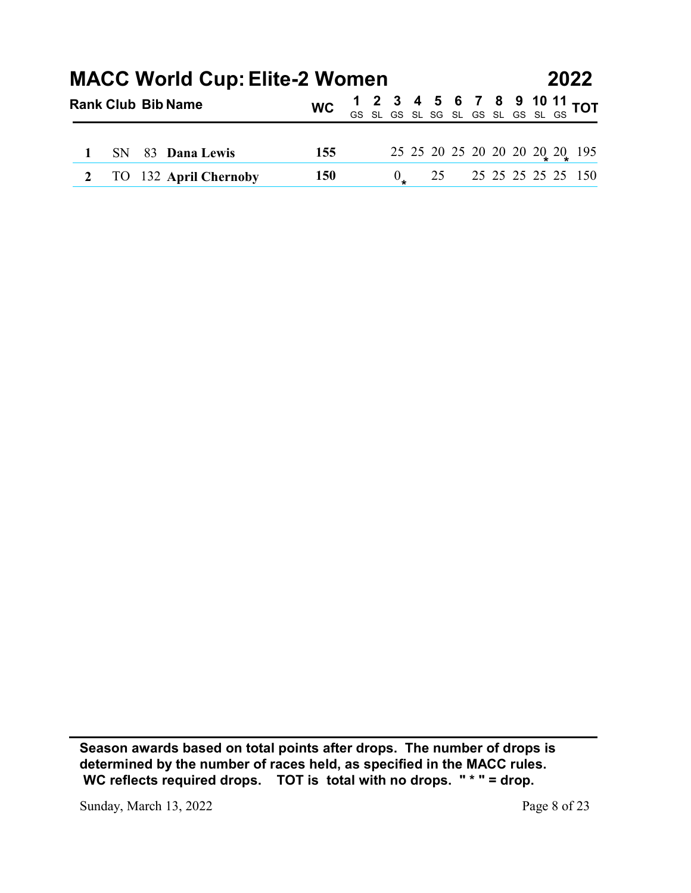|   |                        |    | <b>MACC World Cup: Elite-2 Women</b>    |            |  |                      |    |  |  |  | 2022                                                                  |
|---|------------------------|----|-----------------------------------------|------------|--|----------------------|----|--|--|--|-----------------------------------------------------------------------|
|   |                        |    | <b>Rank Club Bib Name</b>               | <b>WC</b>  |  |                      |    |  |  |  | 1 2 3 4 5 6 7 8 9 10 11 TOT<br>GS SL GS SL SG SL GS SL GS SL GS SL GS |
|   |                        |    |                                         |            |  |                      |    |  |  |  |                                                                       |
| 2 | <b>SN</b><br><b>TO</b> | 83 | <b>Dana Lewis</b><br>132 April Chernoby | 155<br>150 |  | $\frac{0}{\epsilon}$ | 25 |  |  |  | 25 25 20 25 20 20 20 20 20 20 195<br>25 25 25 25 25 150               |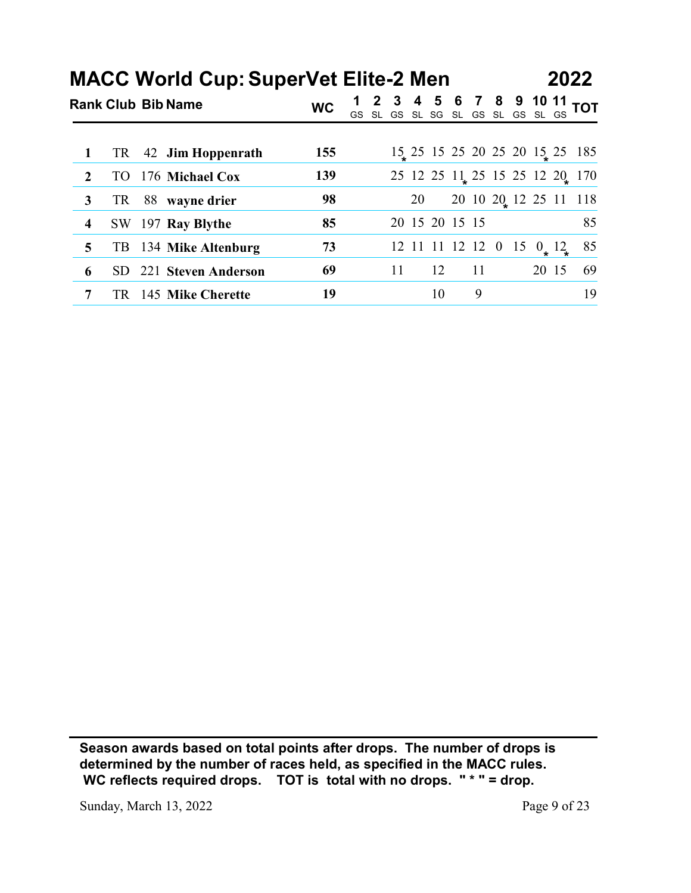|                         | <b>MACC World Cup: SuperVet Elite-2 Men</b> |           |                                                                     |    |                |    |    |  |                                | 2022 |
|-------------------------|---------------------------------------------|-----------|---------------------------------------------------------------------|----|----------------|----|----|--|--------------------------------|------|
|                         | <b>Rank Club Bib Name</b>                   | <b>WC</b> | 1 2 3 4 5 6 7 8 9 10 11 TOT<br>GS SL GS SL SG SL GS SL GS SL GS TOT |    |                |    |    |  |                                |      |
|                         |                                             |           |                                                                     |    |                |    |    |  |                                |      |
| 1                       | Jim Hoppenrath<br>TR<br>42                  | 155       |                                                                     |    |                |    |    |  | 15 25 15 25 20 25 20 15 25 185 |      |
| $\boldsymbol{2}$        | 176 Michael Cox<br><b>TO</b>                | 139       |                                                                     |    |                |    |    |  | 25 12 25 11 25 15 25 12 20 170 |      |
| 3                       | TR<br>88 wayne drier                        | 98        |                                                                     |    | 20             |    |    |  | 20 10 20 12 25 11 118          |      |
| $\overline{\mathbf{4}}$ | 197 Ray Blythe<br>SW                        | 85        |                                                                     |    | 20 15 20 15 15 |    |    |  |                                | 85   |
| 5                       | 134 Mike Altenburg<br>TB                    | 73        |                                                                     |    |                |    |    |  | 12 11 11 12 12 0 15 $0_* 12_*$ | 85   |
| 6                       | 221 Steven Anderson<br><b>SD</b>            | 69        |                                                                     | 11 |                | 12 | 11 |  | 20 15                          | 69   |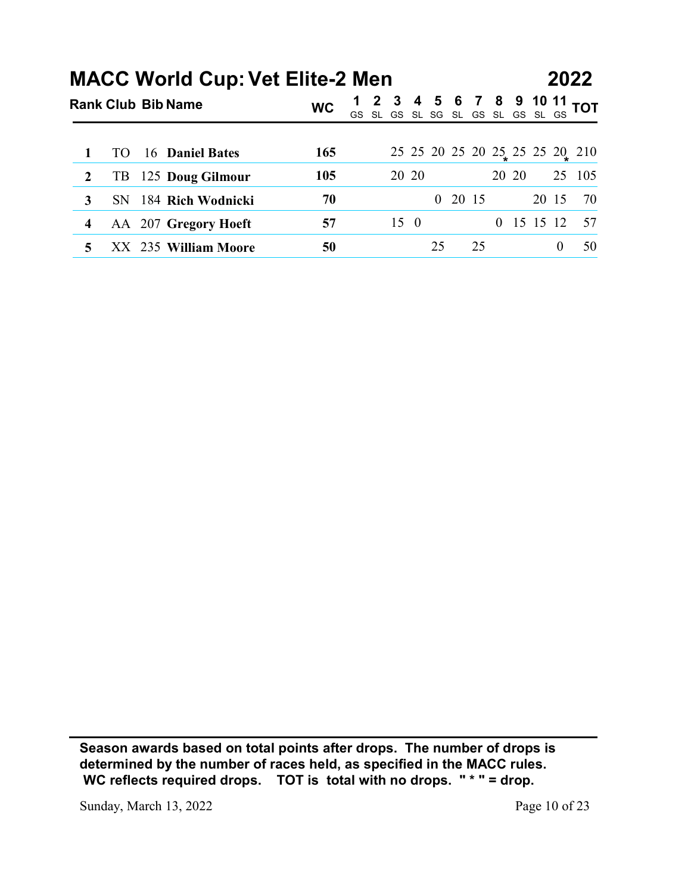|   |           | <b>MACC World Cup: Vet Elite-2 Men</b> |           |  |            |    |           |       | $\mathbf{11}$<br>10              | 2022                                     |
|---|-----------|----------------------------------------|-----------|--|------------|----|-----------|-------|----------------------------------|------------------------------------------|
|   |           | <b>Rank Club Bib Name</b>              | <b>WC</b> |  |            |    |           |       | GS SL GS SL SG SL GS SL GS SL GS | <b>TOT</b>                               |
| 1 | <b>TO</b> | 16 Daniel Bates                        | 165       |  |            |    |           |       |                                  |                                          |
| 2 | TB        | 125 Doug Gilmour                       | 105       |  | 20 20      |    |           | 20 20 |                                  | 25 25 20 25 20 25 25 25 20 210<br>25 105 |
| 3 | SN        | 184 Rich Wodnicki                      | 70        |  |            |    | $0$ 20 15 |       | 20 15                            | 70                                       |
| 4 |           | AA 207 Gregory Hoeft                   | 57        |  | $15\quad0$ |    |           |       | 0 15 15 12                       | 57                                       |
| 5 |           | XX 235 William Moore                   | 50        |  |            | 25 | 25        |       | $\boldsymbol{0}$                 | 50                                       |

Sunday, March 13, 2022 Page 10 of 23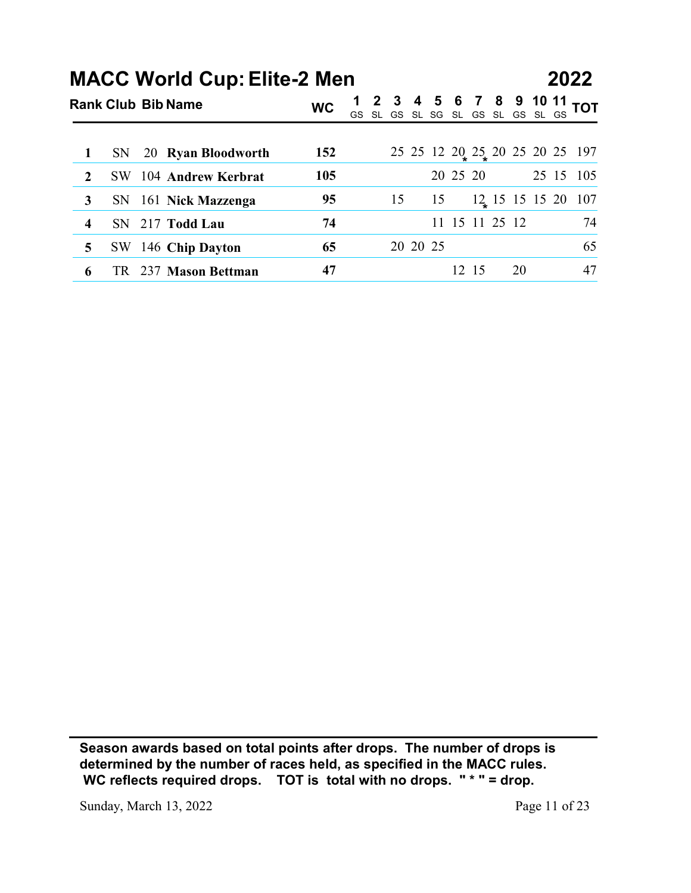|                         |           | <b>MACC World Cup: Elite-2 Men</b> |           |    |    |          |    |          |       |                |    |                                                        |            |
|-------------------------|-----------|------------------------------------|-----------|----|----|----------|----|----------|-------|----------------|----|--------------------------------------------------------|------------|
|                         |           |                                    |           |    |    |          |    |          |       |                |    | 2022                                                   |            |
|                         |           | <b>Rank Club Bib Name</b>          | <b>WC</b> | GS |    |          |    |          |       |                |    | 2 3 4 5 6 7 8 9 10 11<br>SL GS SL SG SL GS SL GS SL GS | <b>TOT</b> |
|                         |           |                                    |           |    |    |          |    |          |       |                |    |                                                        |            |
| $\mathbf{1}$            | SN        | 20 Ryan Bloodworth                 | 152       |    |    |          |    |          |       |                |    | 25 25 12 20 25 20 25 20 25 197                         |            |
| $\boldsymbol{2}$        | <b>SW</b> | 104 Andrew Kerbrat                 | 105       |    |    |          |    | 20 25 20 |       |                |    | 25 15 105                                              |            |
| 3                       | SN        | 161 Nick Mazzenga                  | 95        |    | 15 |          | 15 |          |       |                |    | $12 \div 15$ 15 15 20 107                              |            |
| $\overline{\mathbf{4}}$ | SN        | 217 Todd Lau                       | 74        |    |    |          |    |          |       | 11 15 11 25 12 |    |                                                        | 74         |
| 5                       | <b>SW</b> | 146 Chip Dayton                    | 65        |    |    | 20 20 25 |    |          |       |                |    |                                                        | 65         |
| 6                       |           | TR 237 Mason Bettman               | 47        |    |    |          |    |          | 12 15 |                | 20 |                                                        | 47         |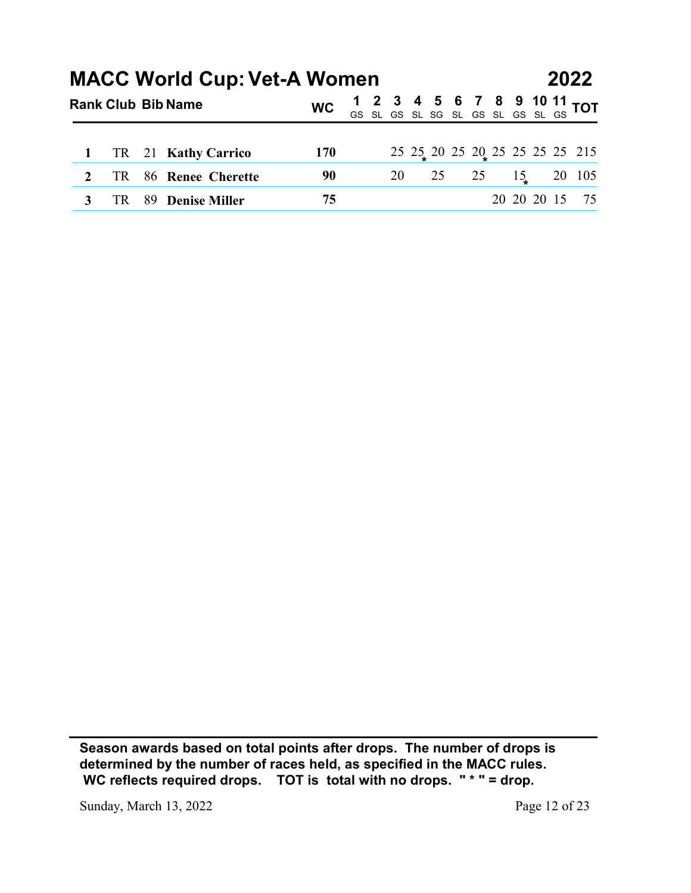|                     |                 |    |                                                                 |           |    |    |    |   |                                    |    |             | 2022                           |
|---------------------|-----------------|----|-----------------------------------------------------------------|-----------|----|----|----|---|------------------------------------|----|-------------|--------------------------------|
|                     |                 |    | <b>MACC World Cup: Vet-A Women</b><br><b>Rank Club Bib Name</b> | <b>WC</b> | GS |    |    | 6 | 8<br>SL GS SL SG SL GS SL GS SL GS |    | 10          | $\frac{11}{20}$ TOT            |
|                     |                 |    |                                                                 |           |    |    |    |   |                                    |    |             |                                |
| 1                   | <b>TR</b>       | 21 | <b>Kathy Carrico</b>                                            | 170       |    |    |    |   |                                    |    |             | 25 25 26 26 27 25 25 25 25 215 |
| $\overline{2}$<br>3 | <b>TR</b><br>TR | 89 | 86 Renee Cherette<br><b>Denise Miller</b>                       | 90<br>75  |    | 20 | 25 |   | 25                                 | 15 | 20 20 20 15 | 20 105<br>75                   |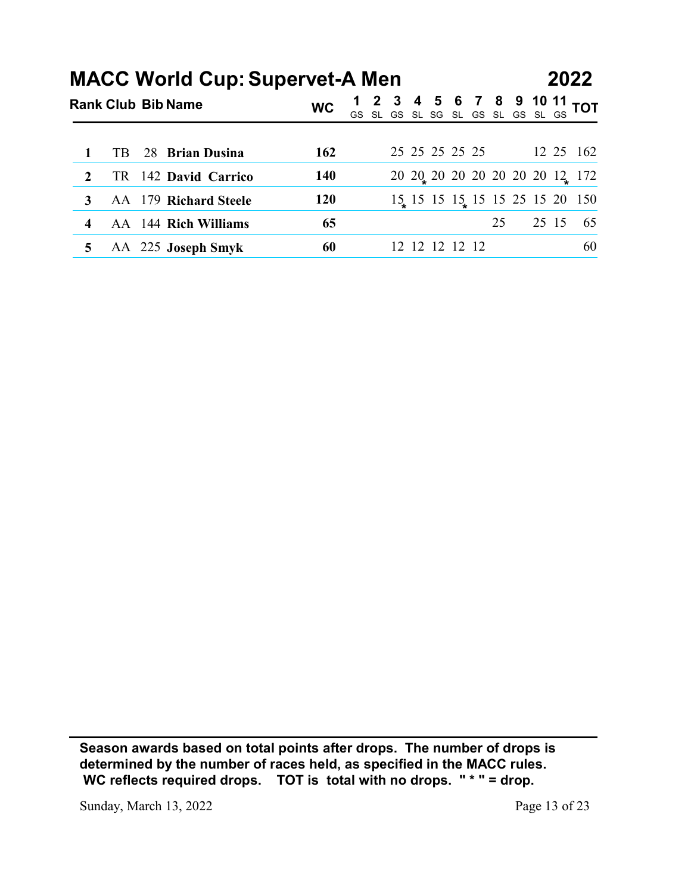|                  |           |                                                                    |            |    |  |    |   |                |    |                               | 2022                           |
|------------------|-----------|--------------------------------------------------------------------|------------|----|--|----|---|----------------|----|-------------------------------|--------------------------------|
|                  |           | <b>MACC World Cup: Supervet-A Men</b><br><b>Rank Club Bib Name</b> | <b>WC</b>  | GS |  | 5. | 6 |                | 8  | SL GS SL SG SL GS SL GS SL GS | 10 $11$ TOT                    |
|                  |           |                                                                    |            |    |  |    |   |                |    |                               |                                |
|                  | TB        | <b>Brian Dusina</b><br>28                                          | 162        |    |  |    |   | 25 25 25 25 25 |    |                               | 12 25 162                      |
| $\boldsymbol{2}$ | <b>TR</b> | 142 David Carrico                                                  | 140        |    |  |    |   |                |    |                               | 20 20 20 20 20 20 20 12 172    |
| 3                |           | AA 179 Richard Steele                                              | <b>120</b> |    |  |    |   |                |    |                               | 15 15 15 15 15 15 25 15 20 150 |
| 4                |           | AA 144 Rich Williams                                               | 65         |    |  |    |   |                | 25 | 25 15                         | 65                             |

Sunday, March 13, 2022 Page 13 of 23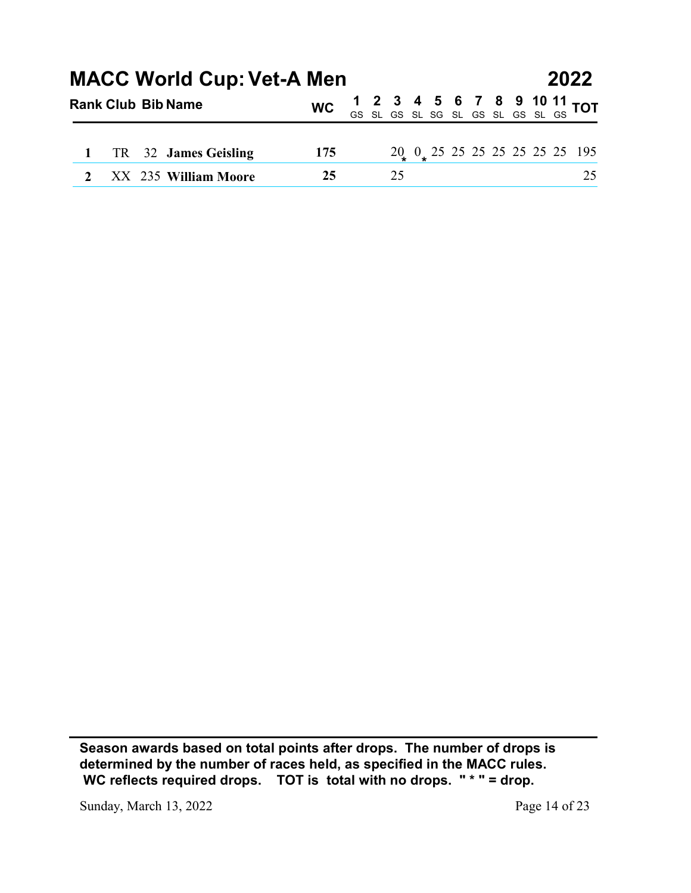|    |    | <b>MACC World Cup: Vet-A Men</b><br><b>Rank Club Bib Name</b> | <b>WC</b> |  |          |  |             |       | 10<br>SL GS | 2022<br>$\mathbf{11}$<br><b>TOT</b>              |
|----|----|---------------------------------------------------------------|-----------|--|----------|--|-------------|-------|-------------|--------------------------------------------------|
|    |    |                                                               |           |  | GS SL GS |  | SL SG SL GS | SL GS |             |                                                  |
| TR | 32 | <b>James Geisling</b>                                         | 175       |  |          |  |             |       |             | $20_{\ast}$ 0 $_{\ast}$ 25 25 25 25 25 25 25 195 |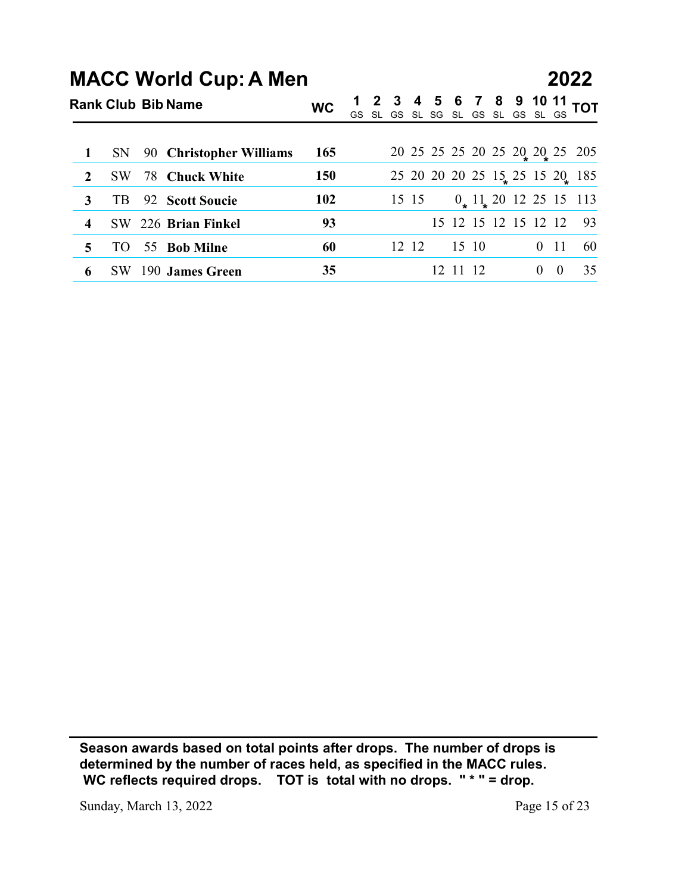|                  |           |    |                                                           |           |    |       |          |       |                      |             |            | 2022                                              |
|------------------|-----------|----|-----------------------------------------------------------|-----------|----|-------|----------|-------|----------------------|-------------|------------|---------------------------------------------------|
|                  |           |    | <b>MACC World Cup: A Men</b><br><b>Rank Club Bib Name</b> | <b>WC</b> |    |       |          |       | 8                    |             |            |                                                   |
|                  |           |    |                                                           |           | GS | SL GS | SL SG SL |       | GS SL                | မ<br>၆<br>၆ |            | $\frac{10}{\text{SL}}$ $\frac{11}{\text{GS}}$ tot |
| $\mathbf 1$      | <b>SN</b> | 90 | <b>Christopher Williams</b>                               | 165       |    |       |          |       |                      |             |            | 20 25 25 25 20 25 20 20 25 205                    |
| $\boldsymbol{2}$ | <b>SW</b> | 78 | <b>Chuck White</b>                                        | 150       |    |       |          |       |                      |             |            | 25 20 20 20 25 15 25 15 20 185                    |
| $\mathbf{3}$     | TB        |    | 92 Scott Soucie                                           | 102       |    | 15 15 |          |       |                      |             |            | $0$ , $11$ , 20 12 25 15 113                      |
| 4                | <b>SW</b> |    | 226 Brian Finkel                                          | 93        |    |       |          |       | 15 12 15 12 15 12 12 |             |            | 93                                                |
| 5                | TO        |    | 55 Bob Milne                                              | 60        |    | 12 12 |          | 15 10 |                      |             | $0\quad11$ | 60                                                |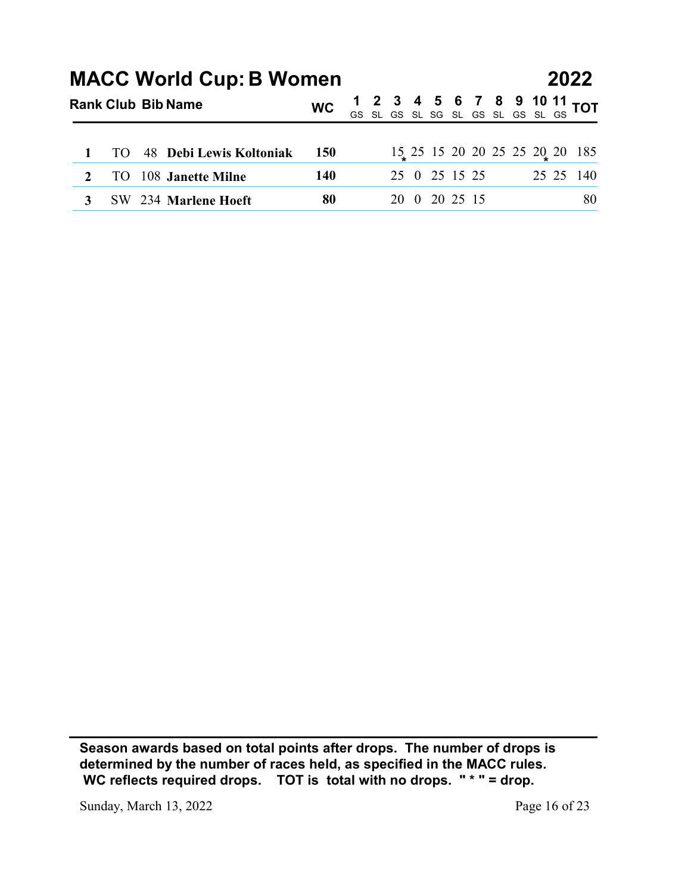|                     |                        |    |                                                             |            |    |    |          |          |                              |             | 2022                                        |
|---------------------|------------------------|----|-------------------------------------------------------------|------------|----|----|----------|----------|------------------------------|-------------|---------------------------------------------|
|                     |                        |    | <b>MACC World Cup: B Women</b><br><b>Rank Club Bib Name</b> | <b>WC</b>  | GS |    |          | 6        | 8<br>SL GS SL SG SL GS SL GS | 10<br>SL GS | $\frac{11}{22}$ TOT                         |
|                     |                        |    |                                                             |            |    |    |          |          |                              |             |                                             |
| 1<br>$\overline{2}$ | <b>TO</b><br><b>TO</b> | 48 | Debi Lewis Koltoniak<br>108 Janette Milne                   | 150<br>140 |    | 25 | $\bf{0}$ | 25 15 25 |                              |             | 15 25 15 20 20 25 25 20 20 185<br>25 25 140 |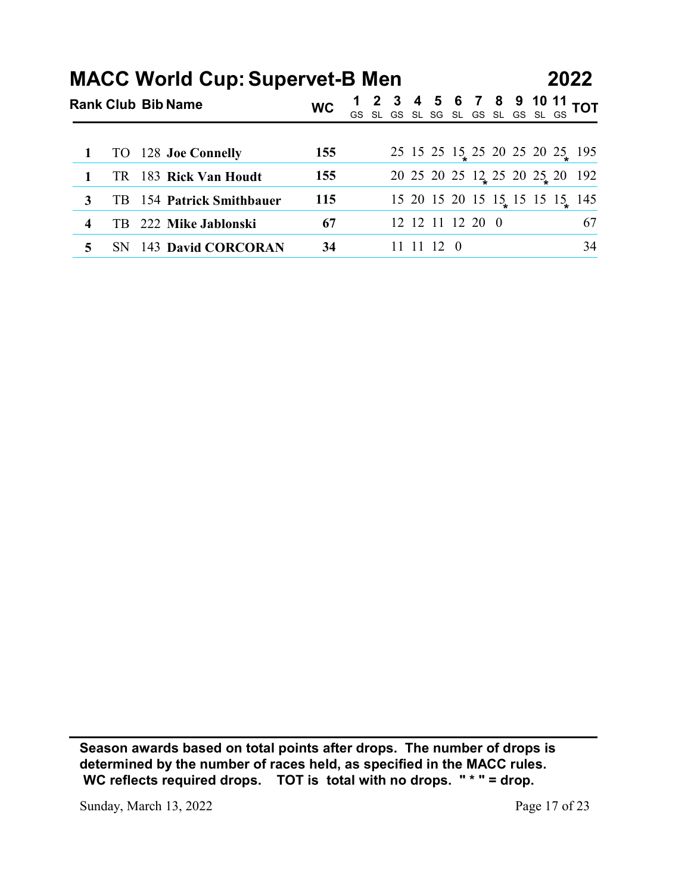|   |           | <b>MACC World Cup: Supervet-B Men</b><br><b>Rank Club Bib Name</b> | <b>WC</b> |                                  |  |            |                  |  | 11 | 2022                              |
|---|-----------|--------------------------------------------------------------------|-----------|----------------------------------|--|------------|------------------|--|----|-----------------------------------|
|   |           |                                                                    |           | GS SL GS SL SG SL GS SL GS SL GS |  |            |                  |  |    | <b>TOT</b>                        |
|   | <b>TO</b> | 128 Joe Connelly                                                   | 155       |                                  |  |            |                  |  |    | 25 15 25 15 25 20 25 20 25 195    |
| 1 | <b>TR</b> | 183 Rick Van Houdt                                                 | 155       |                                  |  |            |                  |  |    | 20 25 20 25 12 25 20 25 20 192    |
| 3 | TB        | 154 Patrick Smithbauer                                             | 115       |                                  |  |            |                  |  |    | 15 20 15 20 15 15 15 15 15 15 145 |
| 4 | TB        | 222 Mike Jablonski                                                 | 67        |                                  |  |            | 12 12 11 12 20 0 |  |    | 67                                |
| 5 | <b>SN</b> | 143 David CORCORAN                                                 | 34        |                                  |  | 11 11 12 0 |                  |  |    | 34                                |

Sunday, March 13, 2022 Page 17 of 23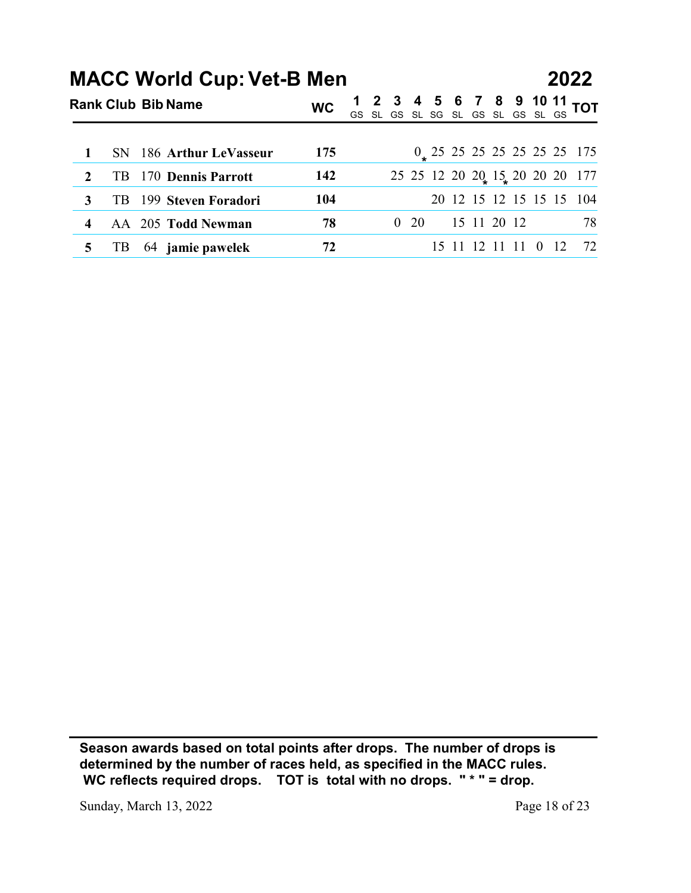|                  |           | <b>MACC World Cup: Vet-B Men</b> |           |                                  |            |  |                     | 8 | 10 | 2022<br>11                                                 |
|------------------|-----------|----------------------------------|-----------|----------------------------------|------------|--|---------------------|---|----|------------------------------------------------------------|
|                  |           | <b>Rank Club Bib Name</b>        | <b>WC</b> | GS SL GS SL SG SL GS SL GS SL GS |            |  |                     |   |    | <b>TOT</b>                                                 |
| $\mathbf{1}$     | <b>SN</b> | 186 Arthur LeVasseur             | 175       |                                  |            |  |                     |   |    | $0$ 25 25 25 25 25 25 25 175                               |
| $\boldsymbol{2}$ | TB        | 170 Dennis Parrott               | 142       |                                  |            |  |                     |   |    |                                                            |
| $\mathbf{3}$     | TB        | 199 Steven Foradori              | 104       |                                  |            |  |                     |   |    | 25 25 12 20 20 15 20 20 20 177<br>20 12 15 12 15 15 15 104 |
| 4                | AA        | 205 Todd Newman                  | 78        |                                  | $0\quad20$ |  | 15 11 20 12         |   |    | 78                                                         |
| 5                | TB        | 64 jamie pawelek                 | 72        |                                  |            |  | 15 11 12 11 11 0 12 |   |    | 72                                                         |

Sunday, March 13, 2022 Page 18 of 23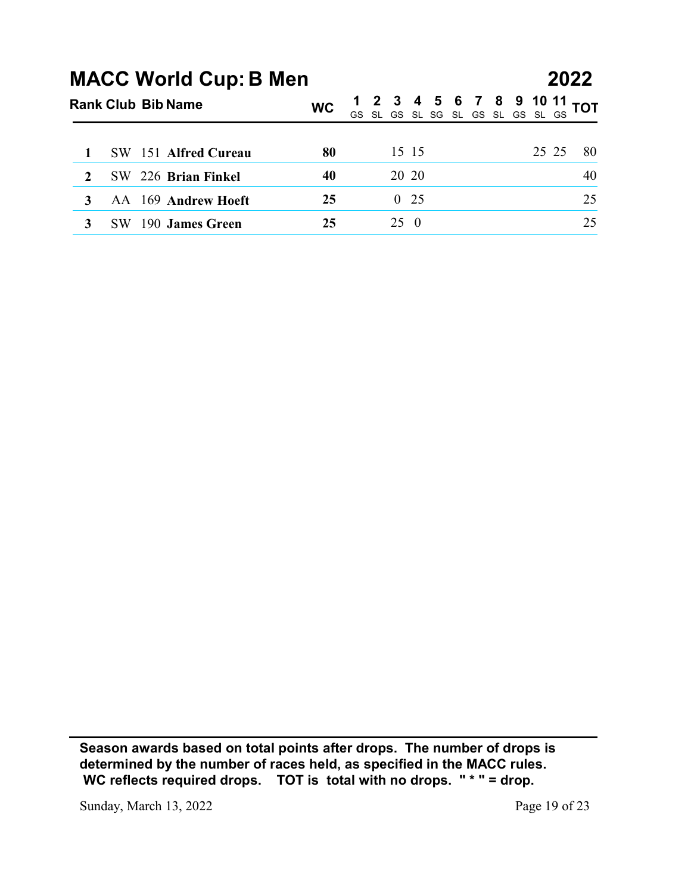|                  |                                                           |           |            | 2022                                                                                                                                                                                                                                                           |    |
|------------------|-----------------------------------------------------------|-----------|------------|----------------------------------------------------------------------------------------------------------------------------------------------------------------------------------------------------------------------------------------------------------------|----|
|                  | <b>MACC World Cup: B Men</b><br><b>Rank Club Bib Name</b> | <b>WC</b> |            | $\begin{array}{cccccc} 1 & 2 & 3 & 4 & 5 & 6 & 7 & 8 & 9 & 10 & 11 \\ \hline \mathrm{GS} & \mathrm{SL} & \mathrm{GS} & \mathrm{SL} & \mathrm{SG} & \mathrm{SL} & \mathrm{GS} & \mathrm{SL} & \mathrm{GS} & \mathrm{SL} & \mathrm{GS} \end{array} \textbf{TOT}$ |    |
| 1                | SW                                                        | 80        | 15 15      | 25 25                                                                                                                                                                                                                                                          | 80 |
| $\boldsymbol{2}$ | 151 Alfred Cureau<br>226 Brian Finkel<br>SW               | 40        | 20 20      |                                                                                                                                                                                                                                                                | 40 |
| 3                | AA 169 Andrew Hoeft                                       | 25        | $0\quad25$ |                                                                                                                                                                                                                                                                | 25 |
| 3                | SW 190 James Green                                        | 25        | $25\quad0$ |                                                                                                                                                                                                                                                                | 25 |

Sunday, March 13, 2022 Page 19 of 23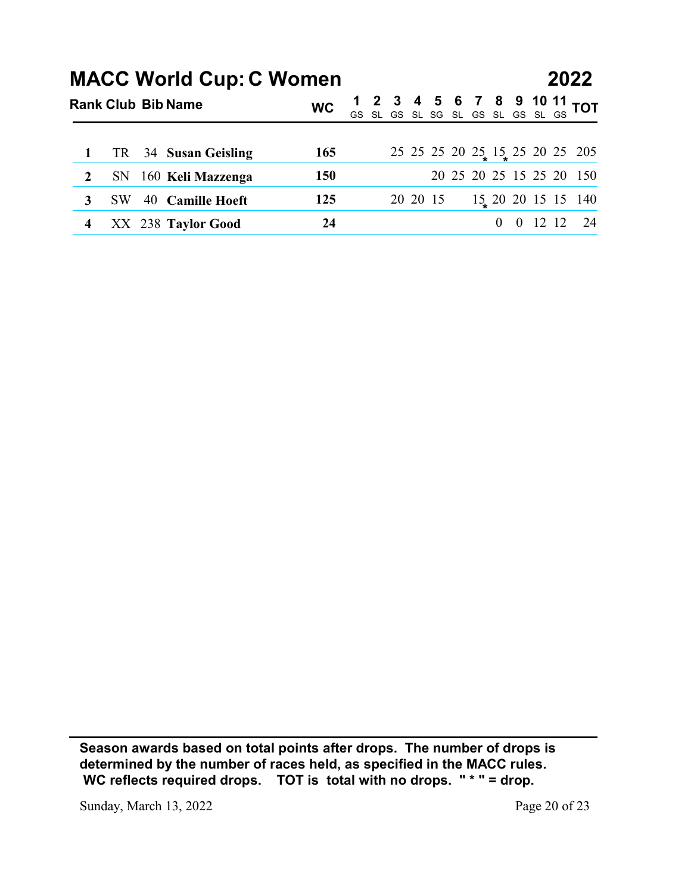|                  |           |                                                             |            |  |  |          |  |  | 2022                                                                        |
|------------------|-----------|-------------------------------------------------------------|------------|--|--|----------|--|--|-----------------------------------------------------------------------------|
|                  |           | <b>MACC World Cup: C Women</b><br><b>Rank Club Bib Name</b> | <b>WC</b>  |  |  |          |  |  | 1 2 3 4 5 6 7 8 9 10 11 TOT<br><u>GS SL GS SL SG SL GS S</u> L GS SL GS TOT |
|                  |           |                                                             |            |  |  |          |  |  |                                                                             |
| 1                | TR        | 34 Susan Geisling                                           | 165        |  |  |          |  |  | 25 25 25 20 25 15 25 20 25 205                                              |
| $\boldsymbol{2}$ | <b>SN</b> | 160 Keli Mazzenga                                           | <b>150</b> |  |  |          |  |  | 20 25 20 25 15 25 20 150                                                    |
| 3                | SW        | 40 Camille Hoeft                                            | 125        |  |  | 20 20 15 |  |  | $15/20$ 20 15 15 140                                                        |

Sunday, March 13, 2022 Page 20 of 23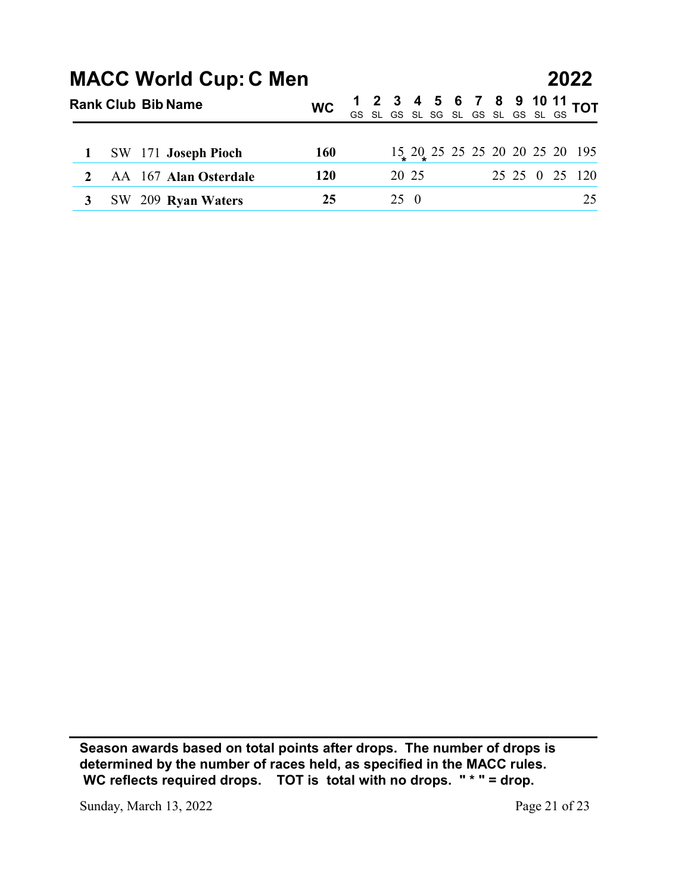|                       |    | <b>Rank Club Bib Name</b> | <b>MACC World Cup: C Men</b>                | <b>WC</b>  | GS SL GS SL SG SL |                     | b | GS SL | 8<br>GS | 10<br>SL GS | 2022<br><u>11</u><br><b>TOT</b>                                            |
|-----------------------|----|---------------------------|---------------------------------------------|------------|-------------------|---------------------|---|-------|---------|-------------|----------------------------------------------------------------------------|
|                       |    |                           |                                             |            |                   |                     |   |       |         |             |                                                                            |
| 1                     | SW |                           | 171 Joseph Pioch                            | <b>160</b> |                   |                     |   |       |         |             | $15\underset{\ast}{\ast} 20\underset{\ast}{\ast} 25$ 25 25 20 20 25 20 195 |
| $\boldsymbol{2}$<br>3 |    |                           | AA 167 Alan Osterdale<br>SW 209 Ryan Waters | 120<br>25  |                   | 20 25<br>$25\quad0$ |   |       |         |             | 25 25 0 25 120<br>25                                                       |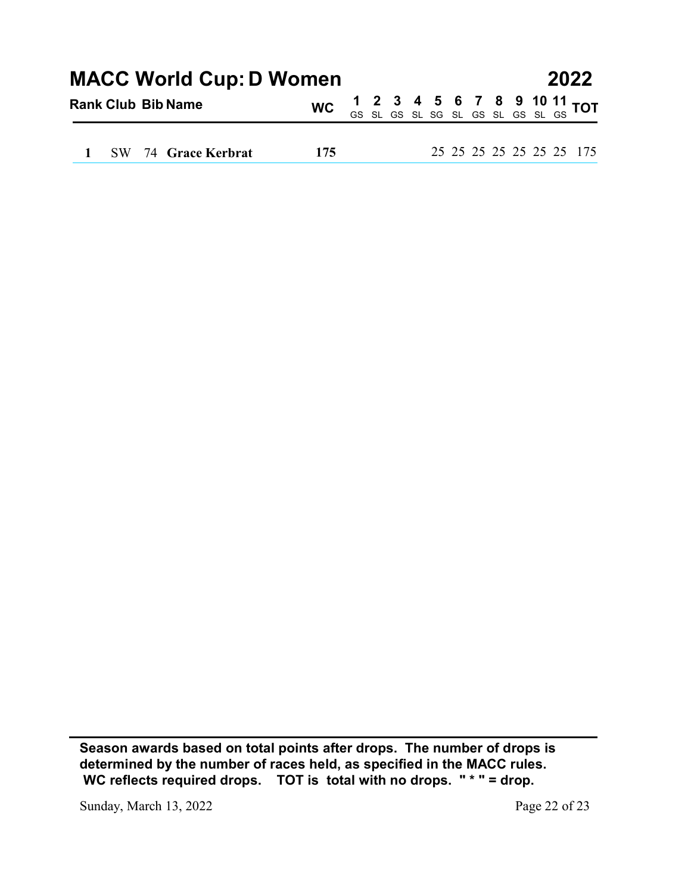| <b>MACC World Cup: D Women</b><br>2022<br>10 $11$ TOT |
|-------------------------------------------------------|
|-------------------------------------------------------|